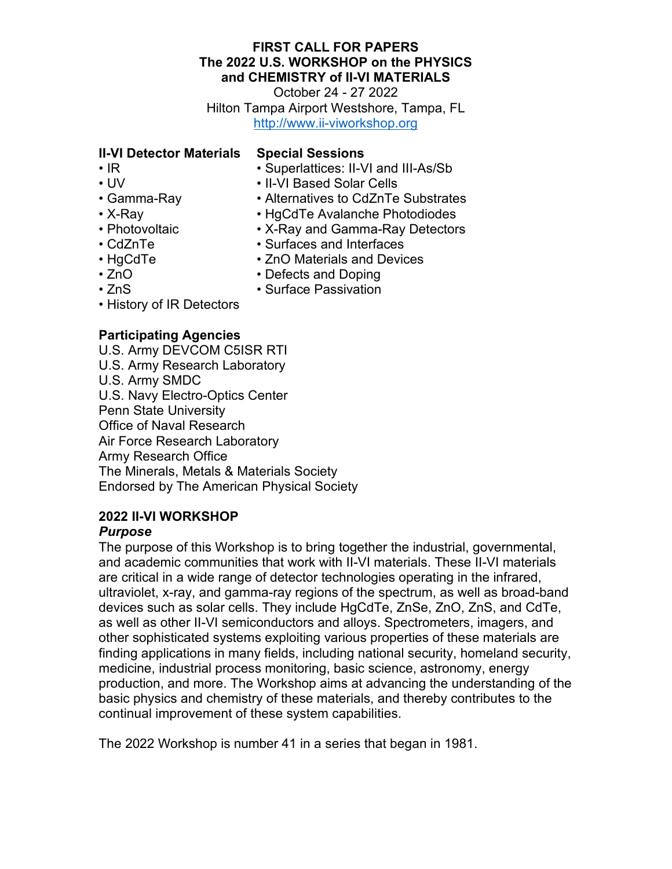# **FIRST CALL FOR PAPERS The 2022 U.S. WORKSHOP on the PHYSICS and CHEMISTRY of II-VI MATERIALS**

October 24 - 27 2022 Hilton Tampa Airport Westshore, Tampa, FL [http://www.ii-viworkshop.org](http://www.ii-viworkshop.org/)

## **II-VI Detector Materials Special Sessions**

- 
- IR Superlattices: II-VI and III-As/Sb
	- II-VI Based Solar Cells
- Gamma-Ray Alternatives to CdZnTe Substrates
- X-Ray HgCdTe Avalanche Photodiodes
- Photovoltaic X-Ray and Gamma-Ray Detectors
- CdZnTe Surfaces and Interfaces
- HgCdTe 2nO Materials and Devices
- 
- 
- ZnO Defects and Doping
- ZnS Surface Passivation
- History of IR Detectors

# **Participating Agencies**

U.S. Army DEVCOM C5ISR RTI U.S. Army Research Laboratory U.S. Army SMDC U.S. Navy Electro-Optics Center Penn State University Office of Naval Research Air Force Research Laboratory Army Research Office The Minerals, Metals & Materials Society

# **2022 II-VI WORKSHOP**

# *Purpose*

The purpose of this Workshop is to bring together the industrial, governmental, and academic communities that work with II-VI materials. These II-VI materials are critical in a wide range of detector technologies operating in the infrared, ultraviolet, x-ray, and gamma-ray regions of the spectrum, as well as broad-band devices such as solar cells. They include HgCdTe, ZnSe, ZnO, ZnS, and CdTe, as well as other II-VI semiconductors and alloys. Spectrometers, imagers, and other sophisticated systems exploiting various properties of these materials are finding applications in many fields, including national security, homeland security, medicine, industrial process monitoring, basic science, astronomy, energy production, and more. The Workshop aims at advancing the understanding of the basic physics and chemistry of these materials, and thereby contributes to the continual improvement of these system capabilities.

The 2022 Workshop is number 41 in a series that began in 1981.

Endorsed by The American Physical Society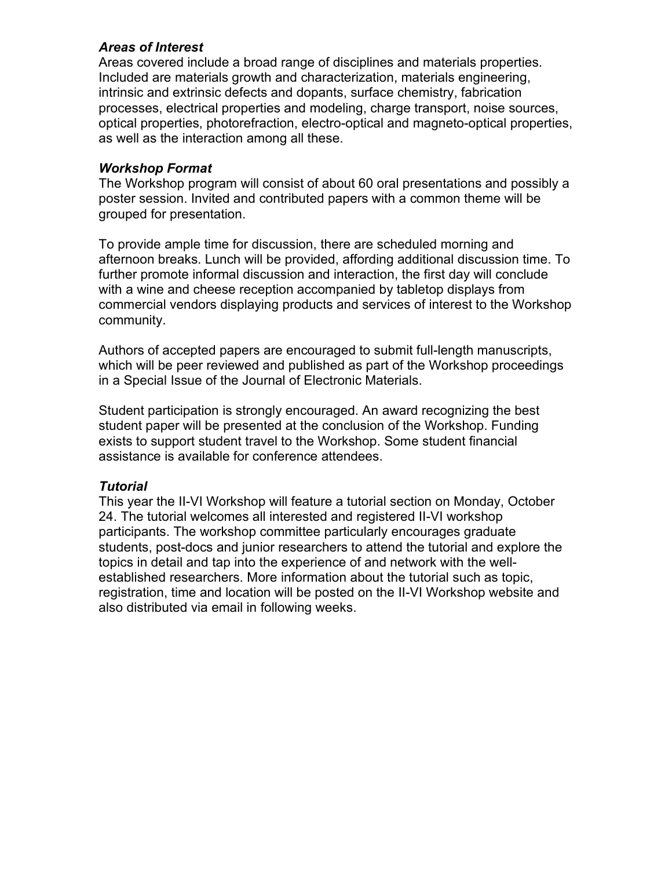## *Areas of Interest*

Areas covered include a broad range of disciplines and materials properties. Included are materials growth and characterization, materials engineering, intrinsic and extrinsic defects and dopants, surface chemistry, fabrication processes, electrical properties and modeling, charge transport, noise sources, optical properties, photorefraction, electro-optical and magneto-optical properties, as well as the interaction among all these.

# *Workshop Format*

The Workshop program will consist of about 60 oral presentations and possibly a poster session. Invited and contributed papers with a common theme will be grouped for presentation.

To provide ample time for discussion, there are scheduled morning and afternoon breaks. Lunch will be provided, affording additional discussion time. To further promote informal discussion and interaction, the first day will conclude with a wine and cheese reception accompanied by tabletop displays from commercial vendors displaying products and services of interest to the Workshop community.

Authors of accepted papers are encouraged to submit full-length manuscripts, which will be peer reviewed and published as part of the Workshop proceedings in a Special Issue of the Journal of Electronic Materials.

Student participation is strongly encouraged. An award recognizing the best student paper will be presented at the conclusion of the Workshop. Funding exists to support student travel to the Workshop. Some student financial assistance is available for conference attendees.

# *Tutorial*

This year the II-VI Workshop will feature a tutorial section on Monday, October 24. The tutorial welcomes all interested and registered II-VI workshop participants. The workshop committee particularly encourages graduate students, post-docs and junior researchers to attend the tutorial and explore the topics in detail and tap into the experience of and network with the wellestablished researchers. More information about the tutorial such as topic, registration, time and location will be posted on the II-VI Workshop website and also distributed via email in following weeks.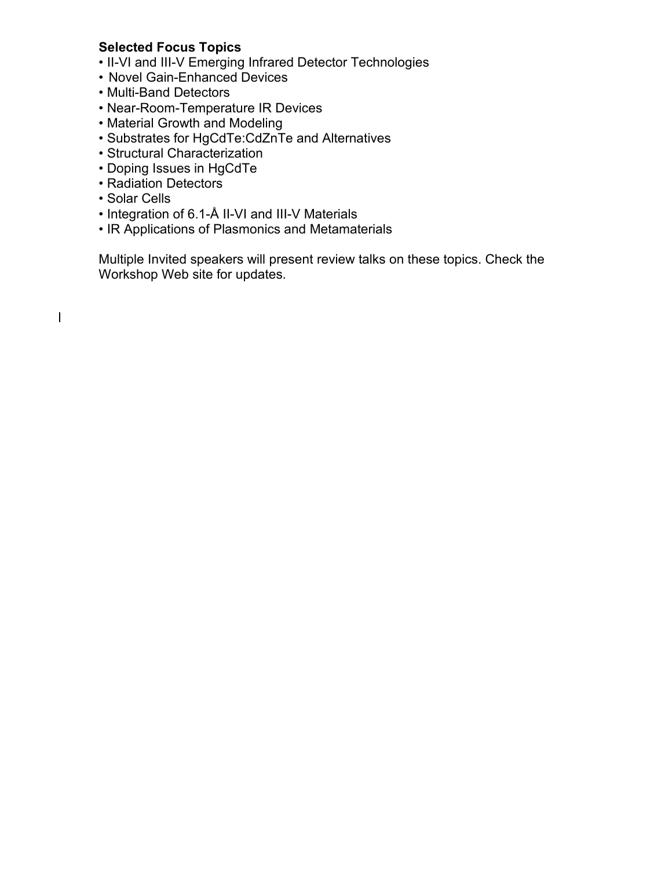# **Selected Focus Topics**

- II-VI and III-V Emerging Infrared Detector Technologies
- Novel Gain-Enhanced Devices
- Multi-Band Detectors
- Near-Room-Temperature IR Devices
- Material Growth and Modeling
- Substrates for HgCdTe:CdZnTe and Alternatives
- Structural Characterization
- Doping Issues in HgCdTe
- Radiation Detectors
- Solar Cells

 $\mathbf{l}$ 

- Integration of 6.1-Å II-VI and III-V Materials
- IR Applications of Plasmonics and Metamaterials

Multiple Invited speakers will present review talks on these topics. Check the Workshop Web site for updates.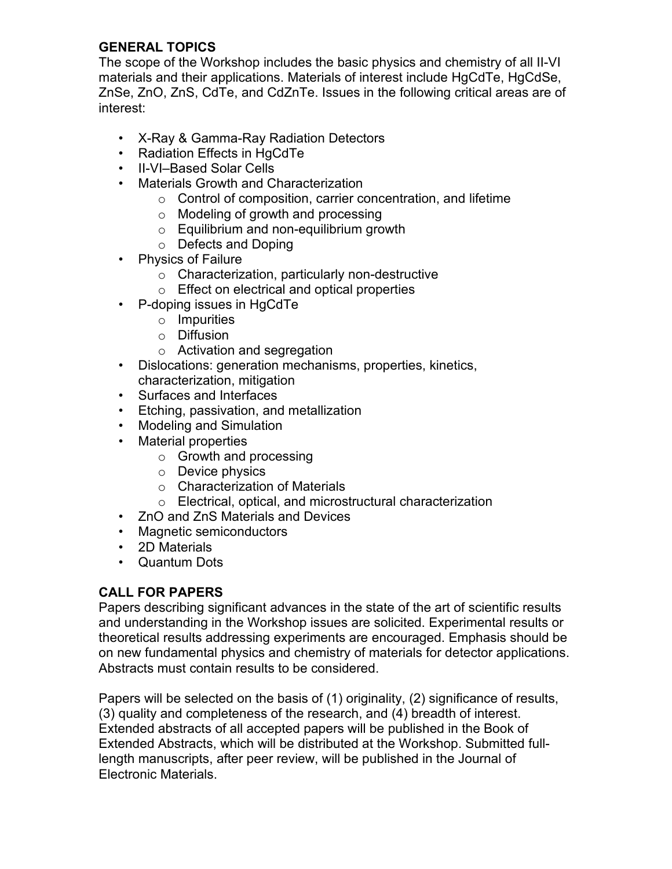# **GENERAL TOPICS**

The scope of the Workshop includes the basic physics and chemistry of all II-VI materials and their applications. Materials of interest include HgCdTe, HgCdSe, ZnSe, ZnO, ZnS, CdTe, and CdZnTe. Issues in the following critical areas are of interest:

- X-Ray & Gamma-Ray Radiation Detectors
- Radiation Effects in HgCdTe
- II-VI–Based Solar Cells
- Materials Growth and Characterization
	- $\circ$  Control of composition, carrier concentration, and lifetime
	- o Modeling of growth and processing
	- o Equilibrium and non-equilibrium growth
	- o Defects and Doping
- Physics of Failure
	- o Characterization, particularly non-destructive
	- o Effect on electrical and optical properties
- P-doping issues in HgCdTe
	- o Impurities
	- o Diffusion
	- o Activation and segregation
- Dislocations: generation mechanisms, properties, kinetics, characterization, mitigation
- Surfaces and Interfaces
- Etching, passivation, and metallization
- Modeling and Simulation
- Material properties
	- o Growth and processing
	- o Device physics
	- o Characterization of Materials
	- o Electrical, optical, and microstructural characterization
- ZnO and ZnS Materials and Devices
- Magnetic semiconductors
- 2D Materials
- Quantum Dots

# **CALL FOR PAPERS**

Papers describing significant advances in the state of the art of scientific results and understanding in the Workshop issues are solicited. Experimental results or theoretical results addressing experiments are encouraged. Emphasis should be on new fundamental physics and chemistry of materials for detector applications. Abstracts must contain results to be considered.

Papers will be selected on the basis of (1) originality, (2) significance of results, (3) quality and completeness of the research, and (4) breadth of interest. Extended abstracts of all accepted papers will be published in the Book of Extended Abstracts, which will be distributed at the Workshop. Submitted fulllength manuscripts, after peer review, will be published in the Journal of Electronic Materials.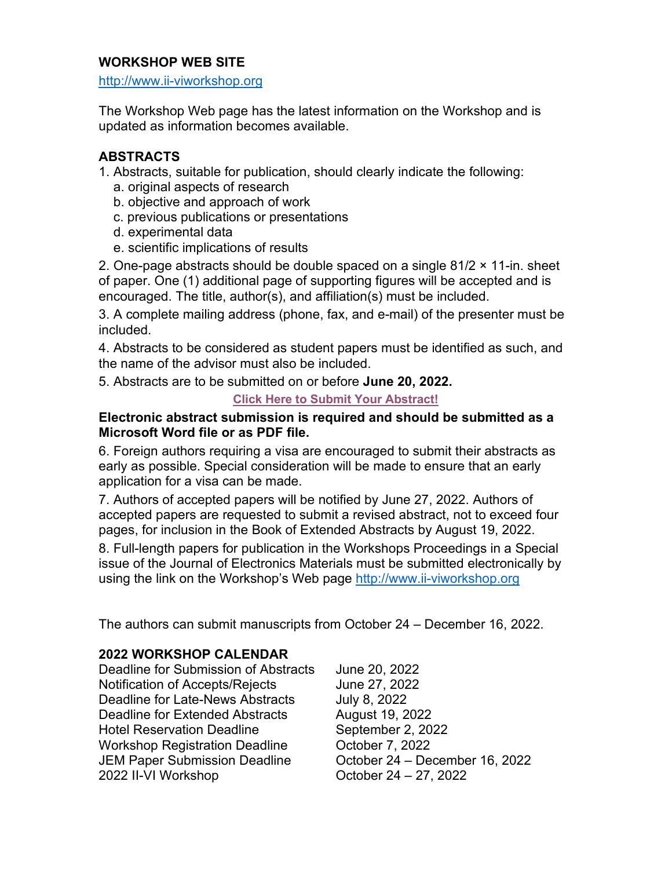# **WORKSHOP WEB SITE**

[http://www.ii-viworkshop.org](http://www.ii-viworkshop.org/)

The Workshop Web page has the latest information on the Workshop and is updated as information becomes available.

# **ABSTRACTS**

1. Abstracts, suitable for publication, should clearly indicate the following:

- a. original aspects of research
- b. objective and approach of work
- c. previous publications or presentations
- d. experimental data
- e. scientific implications of results

2. One-page abstracts should be double spaced on a single 81/2 × 11-in. sheet of paper. One (1) additional page of supporting figures will be accepted and is encouraged. The title, author(s), and affiliation(s) must be included.

3. A complete mailing address (phone, fax, and e-mail) of the presenter must be included.

4. Abstracts to be considered as student papers must be identified as such, and the name of the advisor must also be included.

5. Abstracts are to be submitted on or before **June 20, 2022.**

### **[Click Here to Submit Your Abstract!](https://www.scomminc.com/pcm/collectsubmissions/submissions.cfm?conference=iivi)**

## **Electronic abstract submission is required and should be submitted as a Microsoft Word file or as PDF file.**

6. Foreign authors requiring a visa are encouraged to submit their abstracts as early as possible. Special consideration will be made to ensure that an early application for a visa can be made.

7. Authors of accepted papers will be notified by June 27, 2022. Authors of accepted papers are requested to submit a revised abstract, not to exceed four pages, for inclusion in the Book of Extended Abstracts by August 19, 2022.

8. Full-length papers for publication in the Workshops Proceedings in a Special issue of the Journal of Electronics Materials must be submitted electronically by using the link on the Workshop's Web page [http://www.ii-viworkshop.org](http://www.ii-viworkshop.org/)

The authors can submit manuscripts from October 24 – December 16, 2022.

# **2022 WORKSHOP CALENDAR**

Deadline for Submission of Abstracts June 20, 2022 Notification of Accepts/Rejects June 27, 2022 Deadline for Late-News Abstracts July 8, 2022 Deadline for Extended Abstracts August 19, 2022 Hotel Reservation Deadline September 2, 2022 Workshop Registration Deadline **Corporation** October 7, 2022 JEM Paper Submission Deadline October 24 – December 16, 2022 2022 II-VI Workshop October 24 – 27, 2022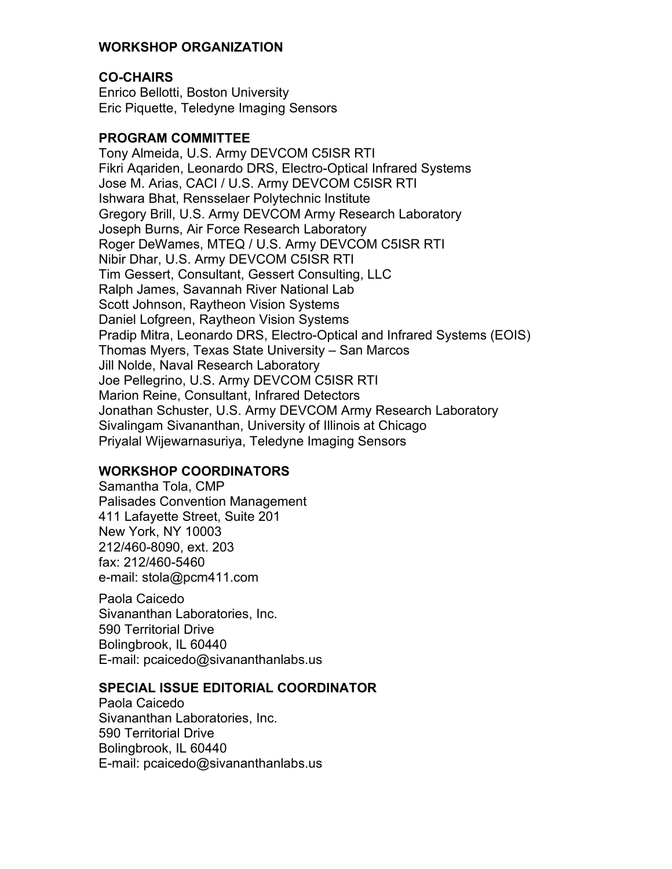# **WORKSHOP ORGANIZATION**

## **CO-CHAIRS**

Enrico Bellotti, Boston University Eric Piquette, Teledyne Imaging Sensors

## **PROGRAM COMMITTEE**

Tony Almeida, U.S. Army DEVCOM C5ISR RTI Fikri Aqariden, Leonardo DRS, Electro-Optical Infrared Systems Jose M. Arias, CACI / U.S. Army DEVCOM C5ISR RTI Ishwara Bhat, Rensselaer Polytechnic Institute Gregory Brill, U.S. Army DEVCOM Army Research Laboratory Joseph Burns, Air Force Research Laboratory Roger DeWames, MTEQ / U.S. Army DEVCOM C5ISR RTI Nibir Dhar, U.S. Army DEVCOM C5ISR RTI Tim Gessert, Consultant, Gessert Consulting, LLC Ralph James, Savannah River National Lab Scott Johnson, Raytheon Vision Systems Daniel Lofgreen, Raytheon Vision Systems Pradip Mitra, Leonardo DRS, Electro-Optical and Infrared Systems (EOIS) Thomas Myers, Texas State University – San Marcos Jill Nolde, Naval Research Laboratory Joe Pellegrino, U.S. Army DEVCOM C5ISR RTI Marion Reine, Consultant, Infrared Detectors Jonathan Schuster, U.S. Army DEVCOM Army Research Laboratory Sivalingam Sivananthan, University of Illinois at Chicago Priyalal Wijewarnasuriya, Teledyne Imaging Sensors

## **WORKSHOP COORDINATORS**

Samantha Tola, CMP Palisades Convention Management 411 Lafayette Street, Suite 201 New York, NY 10003 212/460-8090, ext. 203 fax: 212/460-5460 e-mail: stola@pcm411.com

Paola Caicedo Sivananthan Laboratories, Inc. 590 Territorial Drive Bolingbrook, IL 60440 E-mail: pcaicedo@sivananthanlabs.us

#### **SPECIAL ISSUE EDITORIAL COORDINATOR**

Paola Caicedo Sivananthan Laboratories, Inc. 590 Territorial Drive Bolingbrook, IL 60440 E-mail: pcaicedo@sivananthanlabs.us